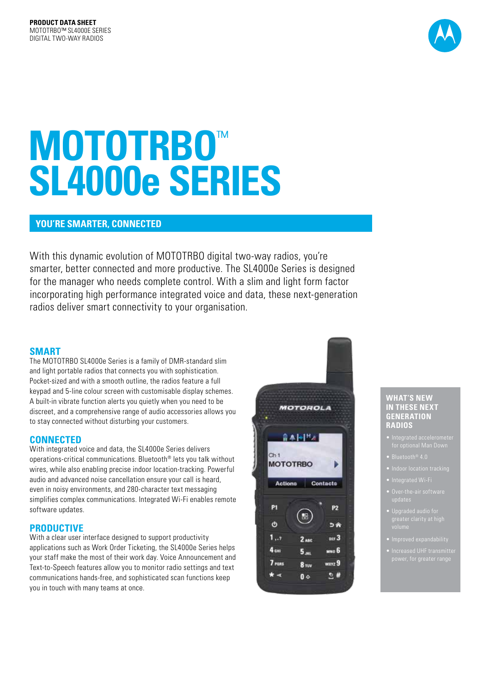

# **MOTOTRBO**™ **SL4000e SERIES**

# **YOU'RE SMARTER, CONNECTED**

With this dynamic evolution of MOTOTRBO digital two-way radios, you're smarter, better connected and more productive. The SL4000e Series is designed for the manager who needs complete control. With a slim and light form factor incorporating high performance integrated voice and data, these next-generation radios deliver smart connectivity to your organisation.

# **SMART**

The MOTOTRBO SL4000e Series is a family of DMR-standard slim and light portable radios that connects you with sophistication. Pocket-sized and with a smooth outline, the radios feature a full keypad and 5-line colour screen with customisable display schemes. A built-in vibrate function alerts you quietly when you need to be discreet, and a comprehensive range of audio accessories allows you to stay connected without disturbing your customers.

## **CONNECTED**

With integrated voice and data, the SL4000e Series delivers operations-critical communications. Bluetooth® lets you talk without wires, while also enabling precise indoor location-tracking. Powerful audio and advanced noise cancellation ensure your call is heard, even in noisy environments, and 280-character text messaging simplifies complex communications. Integrated Wi-Fi enables remote software updates.

# **PRODUCTIVE**

With a clear user interface designed to support productivity applications such as Work Order Ticketing, the SL4000e Series helps your staff make the most of their work day. Voice Announcement and Text-to-Speech features allow you to monitor radio settings and text communications hands-free, and sophisticated scan functions keep you in touch with many teams at once.



#### **WHAT'S NEW IN THESE NEXT GENERATION RADIOS**

- for optional Man Down
- $\bullet$  Bluetooth<sup>®</sup> 4.0
- 
- 
- 
- 
- 
- power, for greater range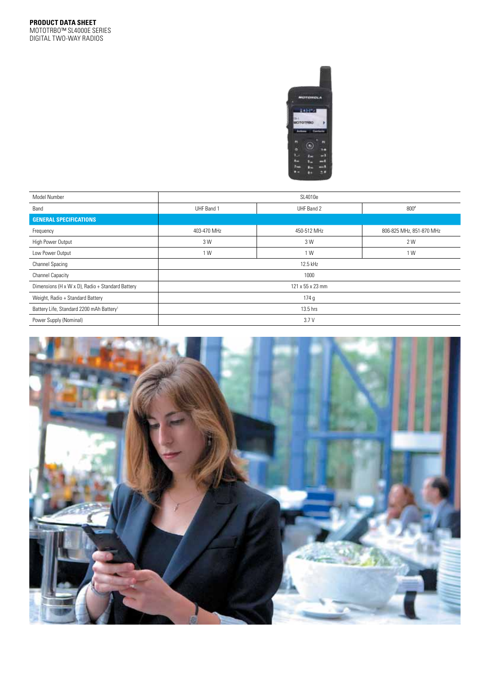

| Model Number                                         |             | SL4010e          |                          |
|------------------------------------------------------|-------------|------------------|--------------------------|
| Band                                                 | UHF Band 1  | UHF Band 2       | $800*$                   |
| <b>GENERAL SPECIFICATIONS</b>                        |             |                  |                          |
| Frequency                                            | 403-470 MHz | 450-512 MHz      | 806-825 MHz, 851-870 MHz |
| High Power Output                                    | 3 W         | 3 W              | 2 W                      |
| Low Power Output                                     | 1 W         | 1 W              | 1 W                      |
| <b>Channel Spacing</b>                               |             | 12.5 kHz         |                          |
| <b>Channel Capacity</b>                              |             | 1000             |                          |
| Dimensions (H x W x D), Radio + Standard Battery     |             | 121 x 55 x 23 mm |                          |
| Weight, Radio + Standard Battery                     |             | 174g             |                          |
| Battery Life, Standard 2200 mAh Battery <sup>1</sup> |             | 13.5 hrs         |                          |
| Power Supply (Nominal)                               |             | 3.7V             |                          |

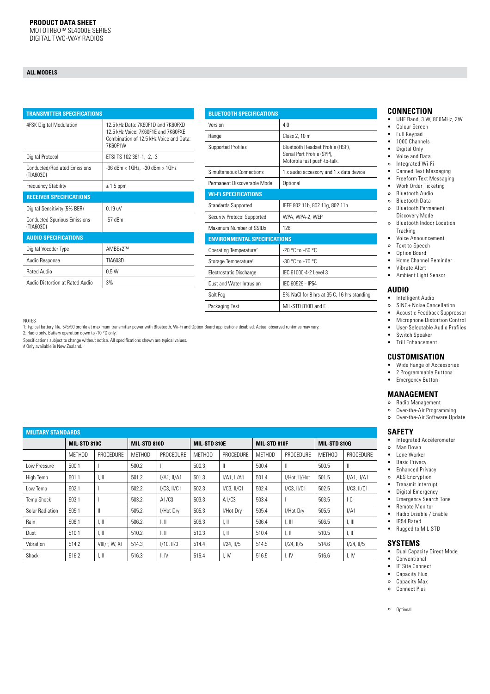### **ALL MODELS**

| <b>TRANSMITTER SPECIFICATIONS</b>                |                                                                                                                                 |
|--------------------------------------------------|---------------------------------------------------------------------------------------------------------------------------------|
| 4FSK Digital Modulation                          | 12.5 kHz Data: 7K60F1D and 7K60FXD<br>12.5 kHz Voice: 7K60F1F and 7K60FXF<br>Combination of 12.5 kHz Voice and Data:<br>7K60F1W |
| Digital Protocol                                 | ETSI TS 102 361-1, -2, -3                                                                                                       |
| <b>Conducted/Radiated Emissions</b><br>(TIA603D) | -36 dBm < 1GHz, -30 dBm > 1GHz                                                                                                  |
| <b>Frequency Stability</b>                       | $\pm$ 1.5 ppm                                                                                                                   |
| <b>RECEIVER SPECIFICATIONS</b>                   |                                                                                                                                 |
| Digital Sensitivity (5% BER)                     | $0.19$ uV                                                                                                                       |
| <b>Conducted Spurious Emissions</b><br>(TIA603D) | $-57$ dBm                                                                                                                       |
| <b>AUDIO SPECIFICATIONS</b>                      |                                                                                                                                 |
| Digital Vocoder Type                             | AMBF+2™                                                                                                                         |
| Audio Response                                   | TIA603D                                                                                                                         |
| <b>Rated Audio</b>                               | 0.5W                                                                                                                            |
| Audio Distortion at Rated Audio                  | 3%                                                                                                                              |
|                                                  |                                                                                                                                 |

| <b>BLUETOOTH SPECIFICATIONS</b>     |                                                                                               |  |  |
|-------------------------------------|-----------------------------------------------------------------------------------------------|--|--|
| Version                             | 4.0                                                                                           |  |  |
| Range                               | Class 2, 10 m                                                                                 |  |  |
| <b>Supported Profiles</b>           | Bluetooth Headset Profile (HSP).<br>Serial Port Profile (SPP),<br>Motorola fast push-to-talk. |  |  |
| Simultaneous Connections            | 1 x audio accessory and 1 x data device                                                       |  |  |
| Permanent Discoverable Mode         | Optional                                                                                      |  |  |
| <b>Wi-Fi SPECIFICATIONS</b>         |                                                                                               |  |  |
| <b>Standards Supported</b>          | IEEE 802.11b, 802.11g, 802.11n                                                                |  |  |
| Security Protocol Supported         | WPA, WPA-2, WEP                                                                               |  |  |
| Maximum Number of SSIDs             | 128                                                                                           |  |  |
| <b>ENVIRONMENTAL SPECIFICATIONS</b> |                                                                                               |  |  |
| Operating Temperature <sup>2</sup>  | $-20$ °C to $+60$ °C                                                                          |  |  |
| Storage Temperature <sup>2</sup>    | $-30$ °C to $+70$ °C                                                                          |  |  |
| Electrostatic Discharge             | IFC 61000-4-2 Level 3                                                                         |  |  |
| Dust and Water Intrusion            | IFC 60529 - IP54                                                                              |  |  |
| Salt Fog                            | 5% NaCl for 8 hrs at 35 C, 16 hrs standing                                                    |  |  |
| Packaging Test                      | MII-STD 810D and F                                                                            |  |  |

NOTES

1: Typical battery life, 5/5/90 profile at maximum transmitter power with Bluetooth, Wi-Fi and Option Board applications disabled. Actual observed runtimes may vary. 2: Radio only. Battery operation down to -10 °C only.

Specifications subject to change without notice. All specifications shown are typical values.<br>
# Only available in New Zealand.<br>
# Only available in New Zealand.

#### **CONNECTION**

- $\bullet$ UHF Band, 3 W, 800MHz, 2W
- $\bullet$ Colour Screen
- $\bullet$ Full Keypad
- 1000 Channels  $\bullet$
- Digital Only  $\bullet$
- $\bullet$ Voice and Data
- $\circ$ Integrated Wi-Fi
- Canned Text Messaging  $\bullet$ Freeform Text Messaging  $\bullet$
- Work Order Ticketing  $\bullet$
- $\circ$ **Bluetooth Audio**
- $\circ$ **Bluetooth Data**
- **Bluetooth Permanent**  $\circ$ Discovery Mode
- $\circ$ **Bluetooth Indoor Location** Tracking
- $\bullet$ Voice Announcement
- Text to Speech  $\circ$
- Option Board  $\bullet$
- Home Channel Reminder  $\bullet$
- $\bullet$ Vibrate Alert
- Ambient Light Sensor

#### **AUDIO**

- Intelligent Audio  $\ddot{\phantom{a}}$
- $\circ$ SINC+ Noise Cancellation
- Acoustic Feedback Suppressor  $\bullet$
- Microphone Distortion Control  $\bullet$  $\bullet$
- User-Selectable Audio Profiles Switch Speaker  $\bullet$
- $\overline{a}$ Trill Enhancement

## **CUSTOMISATION**

- Wide Range of Accessories  $\bullet$
- $\ddot{\phantom{a}}$ 2 Programmable Buttons
- $\bullet$ Emergency Button

#### **MANAGEMENT**

- o Radio Management
- o Over-the-Air Programming
- o Over-the-Air Software Update

#### **SAFETY**

- Integrated Accelerometer  $\bullet$
- o Man Down
- Lone Worker  $\bullet$
- $\ddot{\phantom{a}}$ **Basic Privacy**
- $\ddot{\phantom{a}}$ Enhanced Privacy
- **AES Encryption**  $\circ$
- Transmit Interrunt  $\bullet$
- Digital Emergency  $\bullet$
- $\bullet$ Emergency Search Tone
- $\ddot{\phantom{a}}$ Remote Monitor  $\ddot{\phantom{a}}$
- Radio Disable / Enable IP54 Rated  $\ddot{\phantom{a}}$
- $\bullet$ Rugged to MIL-STD

- **SYSTEMS**
- Dual Capacity Direct Mode  $\bullet$
- Conventional  $\bullet$ IP Site Connect
- $\bullet$ Capacity Plus
- o Capacity Max
- **Connect Plus**  $\circ$
- o Optional

# **MUTADY CTANDADD**

| <b>PROCEDURE</b>          |
|---------------------------|
|                           |
| $I/A1$ , $II/A1$          |
| $I/C3$ , $II/C1$          |
|                           |
| I/A1                      |
| I, III                    |
| $\parallel$ , $\parallel$ |
| $1/24$ , $1/5$            |
| I, IV                     |
|                           |